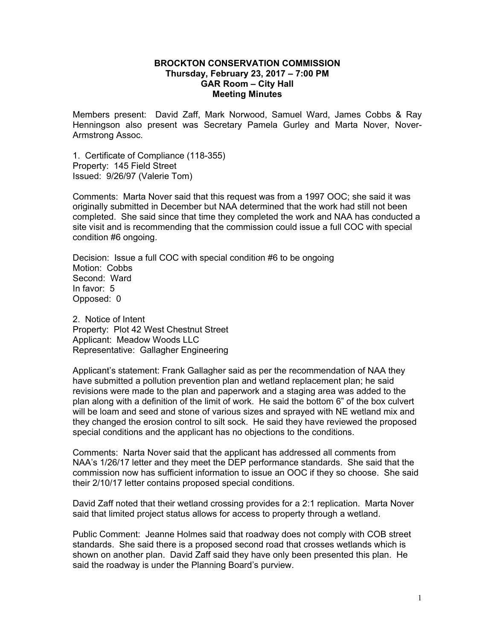## **BROCKTON CONSERVATION COMMISSION Thursday, February 23, 2017 – 7:00 PM GAR Room – City Hall Meeting Minutes**

Members present: David Zaff, Mark Norwood, Samuel Ward, James Cobbs & Ray Henningson also present was Secretary Pamela Gurley and Marta Nover, Nover-Armstrong Assoc.

1. Certificate of Compliance (118-355) Property: 145 Field Street Issued: 9/26/97 (Valerie Tom)

Comments: Marta Nover said that this request was from a 1997 OOC; she said it was originally submitted in December but NAA determined that the work had still not been completed. She said since that time they completed the work and NAA has conducted a site visit and is recommending that the commission could issue a full COC with special condition #6 ongoing.

Decision: Issue a full COC with special condition #6 to be ongoing Motion: Cobbs Second: Ward In favor: 5 Opposed: 0

2. Notice of Intent Property: Plot 42 West Chestnut Street Applicant: Meadow Woods LLC Representative: Gallagher Engineering

Applicant's statement: Frank Gallagher said as per the recommendation of NAA they have submitted a pollution prevention plan and wetland replacement plan; he said revisions were made to the plan and paperwork and a staging area was added to the plan along with a definition of the limit of work. He said the bottom 6" of the box culvert will be loam and seed and stone of various sizes and sprayed with NE wetland mix and they changed the erosion control to silt sock. He said they have reviewed the proposed special conditions and the applicant has no objections to the conditions.

Comments: Narta Nover said that the applicant has addressed all comments from NAA's 1/26/17 letter and they meet the DEP performance standards. She said that the commission now has sufficient information to issue an OOC if they so choose. She said their 2/10/17 letter contains proposed special conditions.

David Zaff noted that their wetland crossing provides for a 2:1 replication. Marta Nover said that limited project status allows for access to property through a wetland.

Public Comment: Jeanne Holmes said that roadway does not comply with COB street standards. She said there is a proposed second road that crosses wetlands which is shown on another plan. David Zaff said they have only been presented this plan. He said the roadway is under the Planning Board's purview.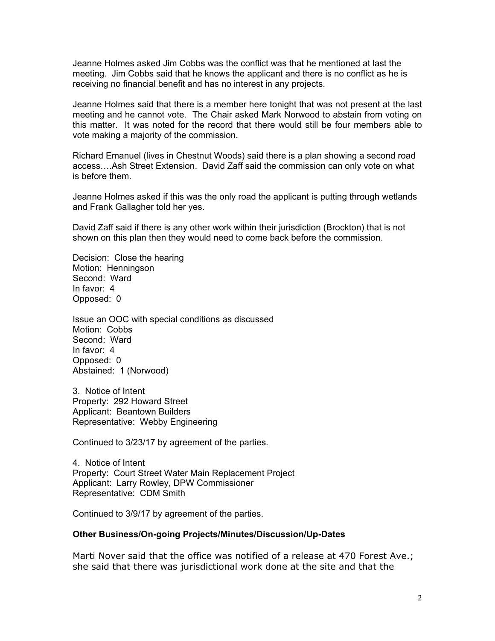Jeanne Holmes asked Jim Cobbs was the conflict was that he mentioned at last the meeting. Jim Cobbs said that he knows the applicant and there is no conflict as he is receiving no financial benefit and has no interest in any projects.

Jeanne Holmes said that there is a member here tonight that was not present at the last meeting and he cannot vote. The Chair asked Mark Norwood to abstain from voting on this matter. It was noted for the record that there would still be four members able to vote making a majority of the commission.

Richard Emanuel (lives in Chestnut Woods) said there is a plan showing a second road access….Ash Street Extension. David Zaff said the commission can only vote on what is before them.

Jeanne Holmes asked if this was the only road the applicant is putting through wetlands and Frank Gallagher told her yes.

David Zaff said if there is any other work within their jurisdiction (Brockton) that is not shown on this plan then they would need to come back before the commission.

Decision: Close the hearing Motion: Henningson Second: Ward In favor: 4 Opposed: 0

Issue an OOC with special conditions as discussed Motion: Cobbs Second: Ward In favor: 4 Opposed: 0 Abstained: 1 (Norwood)

3. Notice of Intent Property: 292 Howard Street Applicant: Beantown Builders Representative: Webby Engineering

Continued to 3/23/17 by agreement of the parties.

4. Notice of Intent Property: Court Street Water Main Replacement Project Applicant: Larry Rowley, DPW Commissioner Representative: CDM Smith

Continued to 3/9/17 by agreement of the parties.

## **Other Business/On-going Projects/Minutes/Discussion/Up-Dates**

Marti Nover said that the office was notified of a release at 470 Forest Ave.; she said that there was jurisdictional work done at the site and that the